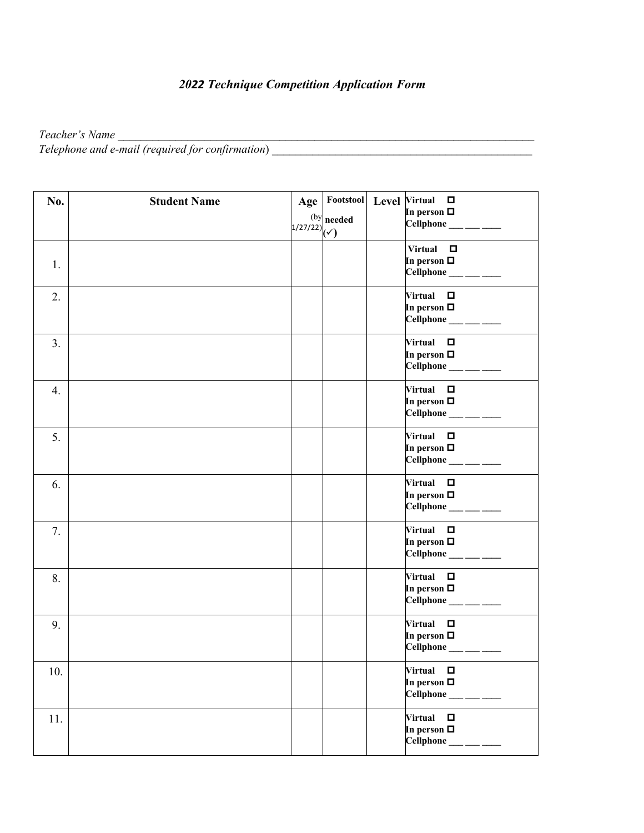## *2022 Technique Competition Application Form*

**Teacher's Name** and the state of the state of the state of the state of the state of the state of the state of the state of the state of the state of the state of the state of the state of the state of the state of the st *Telephone and e-mail (required for confirmation*) \_\_\_\_\_\_\_\_\_\_\_\_\_\_\_\_\_\_\_\_\_\_\_\_\_\_\_\_\_\_\_\_\_\_\_\_\_\_\_\_\_\_\_\_\_

| No. | <b>Student Name</b> | $Age \vert$              |                      | Footstool Level Virtual □                                                                 |
|-----|---------------------|--------------------------|----------------------|-------------------------------------------------------------------------------------------|
|     |                     | $1/27/22$ <sub>(v)</sub> | $^{\rm (by)}$ needed | In person $\Box$<br>$Cellphone$ <sub>___</sub> ____                                       |
| 1.  |                     |                          |                      | Virtual $\square$<br>In person $\Box$<br>$Cellphone$ ___ ___ ___                          |
| 2.  |                     |                          |                      | Virtual $\Box$<br>In person $\Box$<br>$Cellphone$ <sub>____</sub> ___                     |
| 3.  |                     |                          |                      | Virtual $\square$<br>In person $\Box$<br>$Cellphone$ <sub>___</sub> ____                  |
| 4.  |                     |                          |                      | Virtual $\square$<br>In person $\Box$<br>$Cellphone$ <sub>____</sub> ___                  |
| 5.  |                     |                          |                      | Virtual $\square$<br>In person $\Box$<br>$Cellphone$ <sub>____</sub> ____                 |
| 6.  |                     |                          |                      | Virtual $\Box$<br>In person $\Box$<br>Cellphone ___ ___ ___                               |
| 7.  |                     |                          |                      | Virtual $\square$<br>In person $\Box$<br>$Cellphone$ <sub>___</sub> ____                  |
| 8.  |                     |                          |                      | Virtual $\square$<br>In person $\Box$                                                     |
| 9.  |                     |                          |                      | Virtual $\Box$<br>In person $\Box$                                                        |
| 10. |                     |                          |                      | <b>Virtual</b><br>$\Box$<br>In person $\Box$<br><b>Cellphone</b><br><u> Liberal Colle</u> |
| 11. |                     |                          |                      | Virtual $\square$<br>In person $\Box$                                                     |